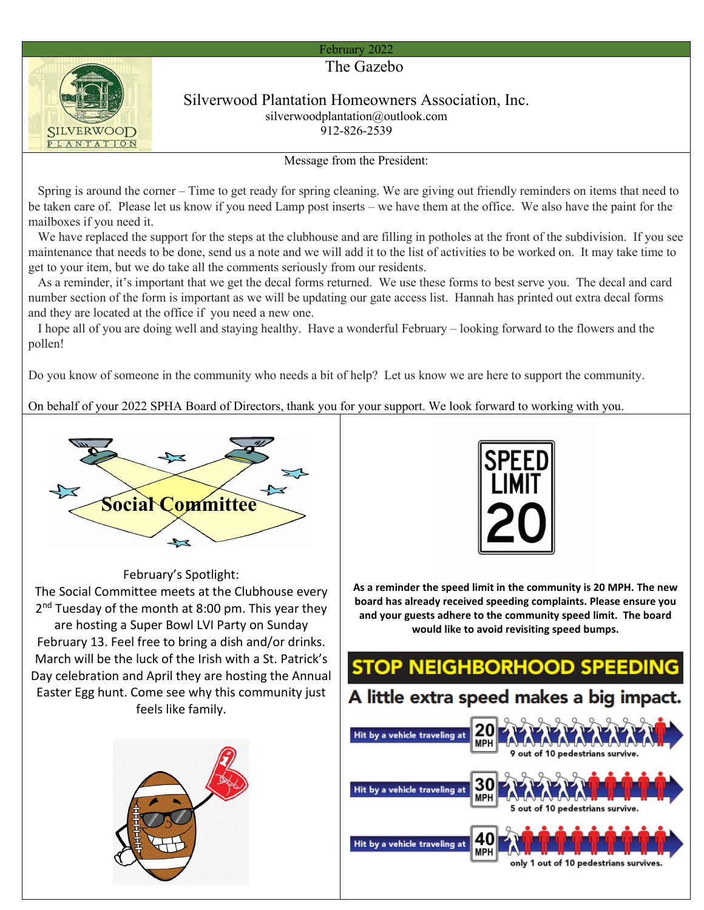## February 2022



### Silverwood Plantation Homeowners Association, Inc. silverwoodplantation@outlook.com 912-826-2539

Message from the President:

 Spring is around the corner – Time to get ready for spring cleaning. We are giving out friendly reminders on items that need to be taken care of. Please let us know if you need Lamp post inserts – we have them at the office. We also have the paint for the mailboxes if you need it.

 We have replaced the support for the steps at the clubhouse and are filling in potholes at the front of the subdivision. If you see maintenance that needs to be done, send us a note and we will add it to the list of activities to be worked on. It may take time to get to your item, but we do take all the comments seriously from our residents.

 As a reminder, it's important that we get the decal forms returned. We use these forms to best serve you. The decal and card number section of the form is important as we will be updating our gate access list. Hannah has printed out extra decal forms and they are located at the office if you need a new one.

 I hope all of you are doing well and staying healthy. Have a wonderful February – looking forward to the flowers and the pollen!

Do you know of someone in the community who needs a bit of help? Let us know we are here to support the community.

On behalf of your 2022 SPHA Board of Directors, thank you for your support. We look forward to working with you.



**As a reminder the speed limit in the community is 20 MPH. The new board has already received speeding complaints. Please ensure you and your guests adhere to the community speed limit. The board would like to avoid revisiting speed bumps.**



February's Spotlight:

The Social Committee meets at the Clubhouse every 2<sup>nd</sup> Tuesday of the month at 8:00 pm. This year they are hosting a Super Bowl LVI Party on Sunday February 13. Feel free to bring a dish and/or drinks. March will be the luck of the Irish with a St. Patrick's Day celebration and April they are hosting the Annual Easter Egg hunt. Come see why this community just feels like family.